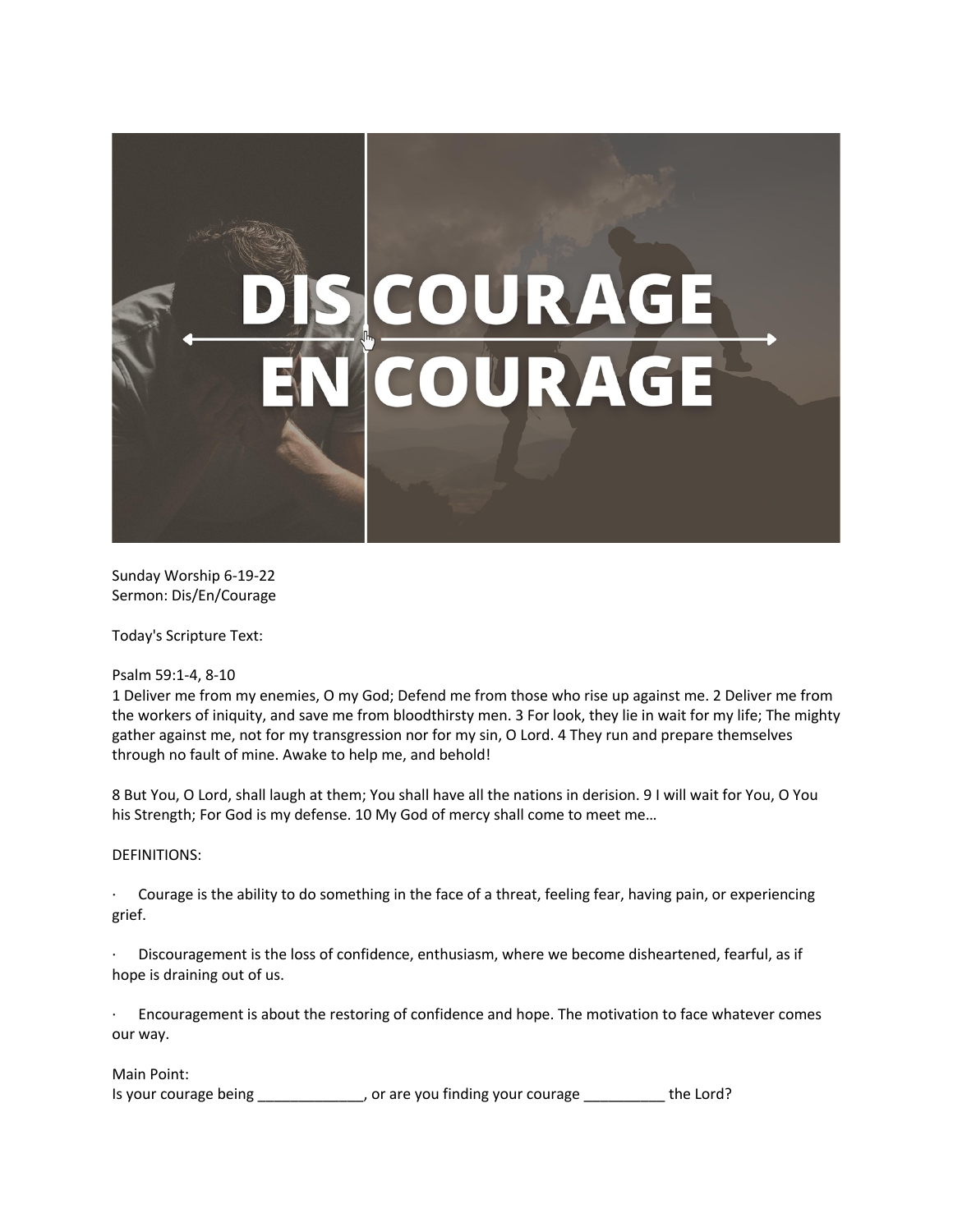

Sunday Worship 6-19-22 Sermon: Dis/En/Courage

Today's Scripture Text:

Psalm 59:1-4, 8-10

1 Deliver me from my enemies, O my God; Defend me from those who rise up against me. 2 Deliver me from the workers of iniquity, and save me from bloodthirsty men. 3 For look, they lie in wait for my life; The mighty gather against me, not for my transgression nor for my sin, O Lord. 4 They run and prepare themselves through no fault of mine. Awake to help me, and behold!

8 But You, O Lord, shall laugh at them; You shall have all the nations in derision. 9 I will wait for You, O You his Strength; For God is my defense. 10 My God of mercy shall come to meet me…

## DEFINITIONS:

· Courage is the ability to do something in the face of a threat, feeling fear, having pain, or experiencing grief.

Discouragement is the loss of confidence, enthusiasm, where we become disheartened, fearful, as if hope is draining out of us.

Encouragement is about the restoring of confidence and hope. The motivation to face whatever comes our way.

Main Point:

Is your courage being \_\_\_\_\_\_\_\_\_\_\_\_\_, or are you finding your courage \_\_\_\_\_\_\_\_\_\_ the Lord?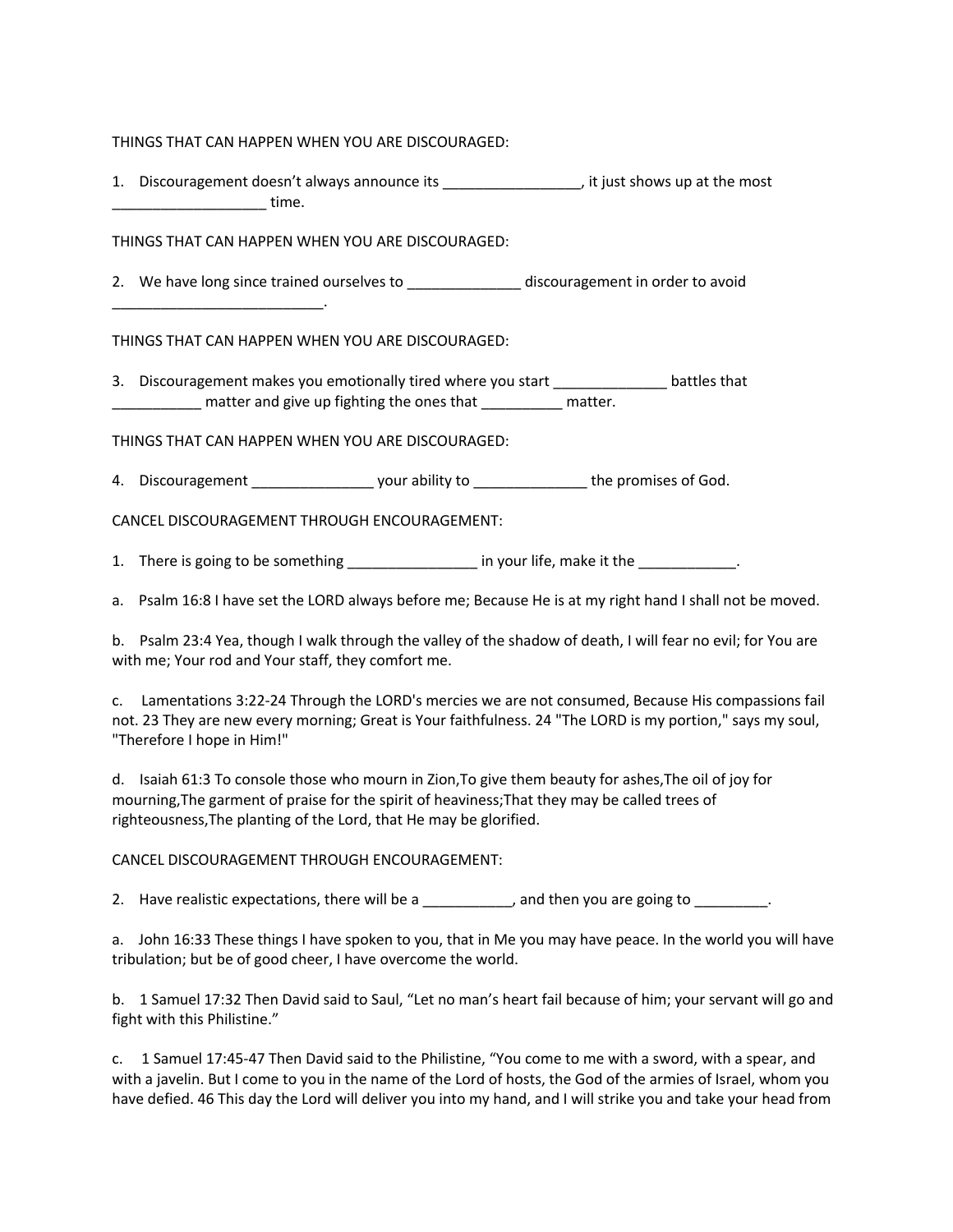## THINGS THAT CAN HAPPEN WHEN YOU ARE DISCOURAGED:

1. Discouragement doesn't always announce its \_\_\_\_\_\_\_\_\_\_\_\_\_\_\_\_\_, it just shows up at the most  $\blacksquare$  time.

## THINGS THAT CAN HAPPEN WHEN YOU ARE DISCOURAGED:

2. We have long since trained ourselves to \_\_\_\_\_\_\_\_\_\_\_\_\_\_\_\_\_ discouragement in order to avoid

THINGS THAT CAN HAPPEN WHEN YOU ARE DISCOURAGED:

\_\_\_\_\_\_\_\_\_\_\_\_\_\_\_\_\_\_\_\_\_\_\_\_\_\_.

3. Discouragement makes you emotionally tired where you start example battles that matter and give up fighting the ones that Theorem matter.

THINGS THAT CAN HAPPEN WHEN YOU ARE DISCOURAGED:

4. Discouragement \_\_\_\_\_\_\_\_\_\_\_\_\_\_\_\_\_\_\_\_ your ability to \_\_\_\_\_\_\_\_\_\_\_\_\_\_\_\_\_\_\_the promises of God.

CANCEL DISCOURAGEMENT THROUGH ENCOURAGEMENT:

1. There is going to be something \_\_\_\_\_\_\_\_\_\_\_\_\_\_\_\_\_ in your life, make it the \_\_\_\_\_\_\_\_\_\_\_\_.

a. Psalm 16:8 I have set the LORD always before me; Because He is at my right hand I shall not be moved.

b. Psalm 23:4 Yea, though I walk through the valley of the shadow of death, I will fear no evil; for You are with me; Your rod and Your staff, they comfort me.

c. Lamentations 3:22-24 Through the LORD's mercies we are not consumed, Because His compassions fail not. 23 They are new every morning; Great is Your faithfulness. 24 "The LORD is my portion," says my soul, "Therefore I hope in Him!"

d. Isaiah 61:3 To console those who mourn in Zion,To give them beauty for ashes,The oil of joy for mourning,The garment of praise for the spirit of heaviness;That they may be called trees of righteousness,The planting of the Lord, that He may be glorified.

## CANCEL DISCOURAGEMENT THROUGH ENCOURAGEMENT:

2. Have realistic expectations, there will be a \_\_\_\_\_\_\_\_\_, and then you are going to \_\_\_\_\_\_\_\_.

a. John 16:33 These things I have spoken to you, that in Me you may have peace. In the world you will have tribulation; but be of good cheer, I have overcome the world.

b. 1 Samuel 17:32 Then David said to Saul, "Let no man's heart fail because of him; your servant will go and fight with this Philistine."

c. 1 Samuel 17:45-47 Then David said to the Philistine, "You come to me with a sword, with a spear, and with a javelin. But I come to you in the name of the Lord of hosts, the God of the armies of Israel, whom you have defied. 46 This day the Lord will deliver you into my hand, and I will strike you and take your head from